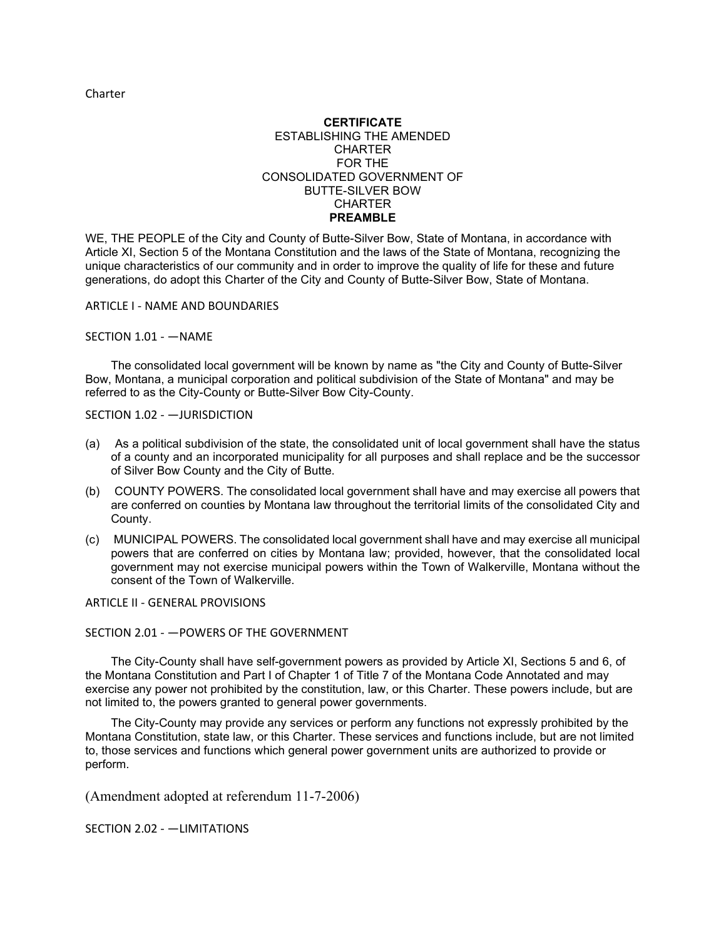Charter

### **CERTIFICATE** ESTABLISHING THE AMENDED **CHARTER** FOR THE CONSOLIDATED GOVERNMENT OF BUTTE-SILVER BOW **CHARTER PREAMBLE**

WE, THE PEOPLE of the City and County of Butte-Silver Bow, State of Montana, in accordance with Article XI, Section 5 of the Montana Constitution and the laws of the State of Montana, recognizing the unique characteristics of our community and in order to improve the quality of life for these and future generations, do adopt this Charter of the City and County of Butte-Silver Bow, State of Montana.

ARTICLE I - NAME AND BOUNDARIES

SECTION 1.01 - —NAME

The consolidated local government will be known by name as "the City and County of Butte-Silver Bow, Montana, a municipal corporation and political subdivision of the State of Montana" and may be referred to as the City-County or Butte-Silver Bow City-County.

SECTION 1.02 - —JURISDICTION

- (a) As a political subdivision of the state, the consolidated unit of local government shall have the status of a county and an incorporated municipality for all purposes and shall replace and be the successor of Silver Bow County and the City of Butte.
- (b) COUNTY POWERS. The consolidated local government shall have and may exercise all powers that are conferred on counties by Montana law throughout the territorial limits of the consolidated City and County.
- (c) MUNICIPAL POWERS. The consolidated local government shall have and may exercise all municipal powers that are conferred on cities by Montana law; provided, however, that the consolidated local government may not exercise municipal powers within the Town of Walkerville, Montana without the consent of the Town of Walkerville.

ARTICLE II - GENERAL PROVISIONS

### SECTION 2.01 - —POWERS OF THE GOVERNMENT

The City-County shall have self-government powers as provided by Article XI, Sections 5 and 6, of the Montana Constitution and Part I of Chapter 1 of Title 7 of the Montana Code Annotated and may exercise any power not prohibited by the constitution, law, or this Charter. These powers include, but are not limited to, the powers granted to general power governments.

The City-County may provide any services or perform any functions not expressly prohibited by the Montana Constitution, state law, or this Charter. These services and functions include, but are not limited to, those services and functions which general power government units are authorized to provide or perform.

(Amendment adopted at referendum 11-7-2006)

SECTION 2.02 - —LIMITATIONS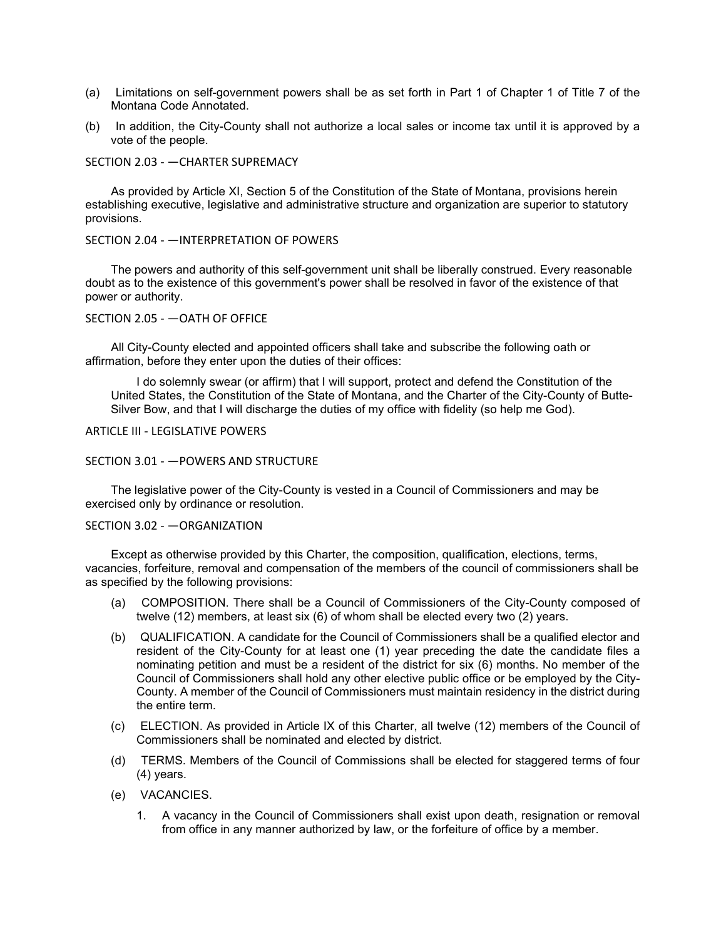- (a) Limitations on self-government powers shall be as set forth in Part 1 of Chapter 1 of Title 7 of the Montana Code Annotated.
- (b) In addition, the City-County shall not authorize a local sales or income tax until it is approved by a vote of the people.

#### SECTION 2.03 - —CHARTER SUPREMACY

As provided by Article XI, Section 5 of the Constitution of the State of Montana, provisions herein establishing executive, legislative and administrative structure and organization are superior to statutory provisions.

#### SECTION 2.04 - —INTERPRETATION OF POWERS

The powers and authority of this self-government unit shall be liberally construed. Every reasonable doubt as to the existence of this government's power shall be resolved in favor of the existence of that power or authority.

#### SECTION 2.05 - —OATH OF OFFICE

All City-County elected and appointed officers shall take and subscribe the following oath or affirmation, before they enter upon the duties of their offices:

I do solemnly swear (or affirm) that I will support, protect and defend the Constitution of the United States, the Constitution of the State of Montana, and the Charter of the City-County of Butte-Silver Bow, and that I will discharge the duties of my office with fidelity (so help me God).

### ARTICLE III - LEGISLATIVE POWERS

#### SECTION 3.01 - —POWERS AND STRUCTURE

The legislative power of the City-County is vested in a Council of Commissioners and may be exercised only by ordinance or resolution.

#### SECTION 3.02 - —ORGANIZATION

Except as otherwise provided by this Charter, the composition, qualification, elections, terms, vacancies, forfeiture, removal and compensation of the members of the council of commissioners shall be as specified by the following provisions:

- (a) COMPOSITION. There shall be a Council of Commissioners of the City-County composed of twelve (12) members, at least six (6) of whom shall be elected every two (2) years.
- (b) QUALIFICATION. A candidate for the Council of Commissioners shall be a qualified elector and resident of the City-County for at least one (1) year preceding the date the candidate files a nominating petition and must be a resident of the district for six (6) months. No member of the Council of Commissioners shall hold any other elective public office or be employed by the City-County. A member of the Council of Commissioners must maintain residency in the district during the entire term.
- (c) ELECTION. As provided in Article IX of this Charter, all twelve (12) members of the Council of Commissioners shall be nominated and elected by district.
- (d) TERMS. Members of the Council of Commissions shall be elected for staggered terms of four (4) years.
- (e) VACANCIES.
	- 1. A vacancy in the Council of Commissioners shall exist upon death, resignation or removal from office in any manner authorized by law, or the forfeiture of office by a member.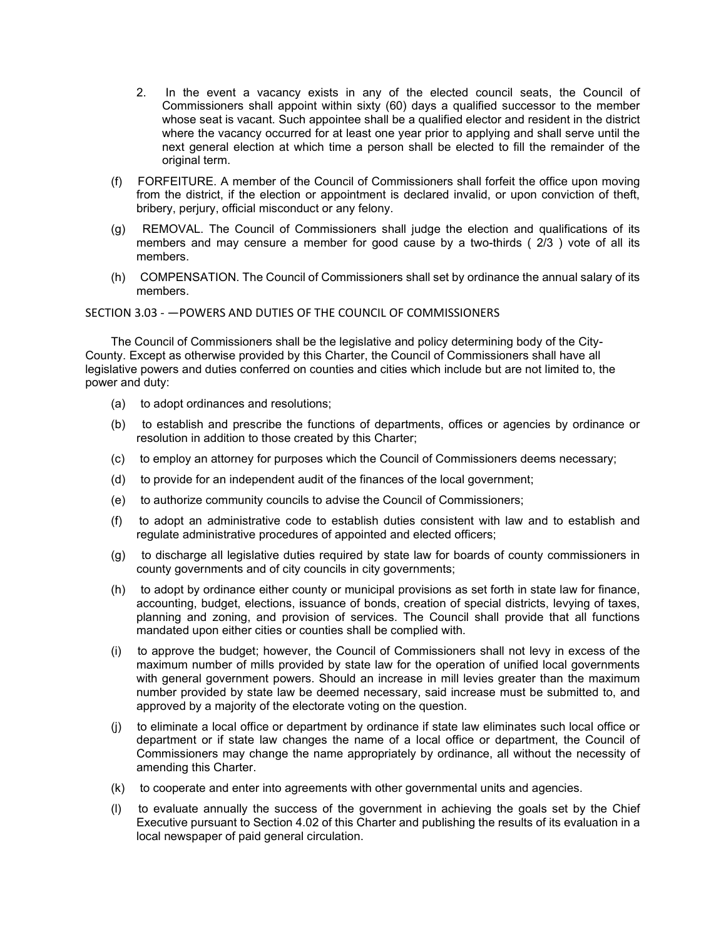- 2. In the event a vacancy exists in any of the elected council seats, the Council of Commissioners shall appoint within sixty (60) days a qualified successor to the member whose seat is vacant. Such appointee shall be a qualified elector and resident in the district where the vacancy occurred for at least one year prior to applying and shall serve until the next general election at which time a person shall be elected to fill the remainder of the original term.
- (f) FORFEITURE. A member of the Council of Commissioners shall forfeit the office upon moving from the district, if the election or appointment is declared invalid, or upon conviction of theft, bribery, perjury, official misconduct or any felony.
- (g) REMOVAL. The Council of Commissioners shall judge the election and qualifications of its members and may censure a member for good cause by a two-thirds ( 2/3 ) vote of all its members.
- (h) COMPENSATION. The Council of Commissioners shall set by ordinance the annual salary of its members.

## SECTION 3.03 - —POWERS AND DUTIES OF THE COUNCIL OF COMMISSIONERS

The Council of Commissioners shall be the legislative and policy determining body of the City-County. Except as otherwise provided by this Charter, the Council of Commissioners shall have all legislative powers and duties conferred on counties and cities which include but are not limited to, the power and duty:

- (a) to adopt ordinances and resolutions;
- (b) to establish and prescribe the functions of departments, offices or agencies by ordinance or resolution in addition to those created by this Charter;
- (c) to employ an attorney for purposes which the Council of Commissioners deems necessary;
- (d) to provide for an independent audit of the finances of the local government;
- (e) to authorize community councils to advise the Council of Commissioners;
- (f) to adopt an administrative code to establish duties consistent with law and to establish and regulate administrative procedures of appointed and elected officers;
- (g) to discharge all legislative duties required by state law for boards of county commissioners in county governments and of city councils in city governments;
- (h) to adopt by ordinance either county or municipal provisions as set forth in state law for finance, accounting, budget, elections, issuance of bonds, creation of special districts, levying of taxes, planning and zoning, and provision of services. The Council shall provide that all functions mandated upon either cities or counties shall be complied with.
- (i) to approve the budget; however, the Council of Commissioners shall not levy in excess of the maximum number of mills provided by state law for the operation of unified local governments with general government powers. Should an increase in mill levies greater than the maximum number provided by state law be deemed necessary, said increase must be submitted to, and approved by a majority of the electorate voting on the question.
- (j) to eliminate a local office or department by ordinance if state law eliminates such local office or department or if state law changes the name of a local office or department, the Council of Commissioners may change the name appropriately by ordinance, all without the necessity of amending this Charter.
- (k) to cooperate and enter into agreements with other governmental units and agencies.
- (l) to evaluate annually the success of the government in achieving the goals set by the Chief Executive pursuant to Section 4.02 of this Charter and publishing the results of its evaluation in a local newspaper of paid general circulation.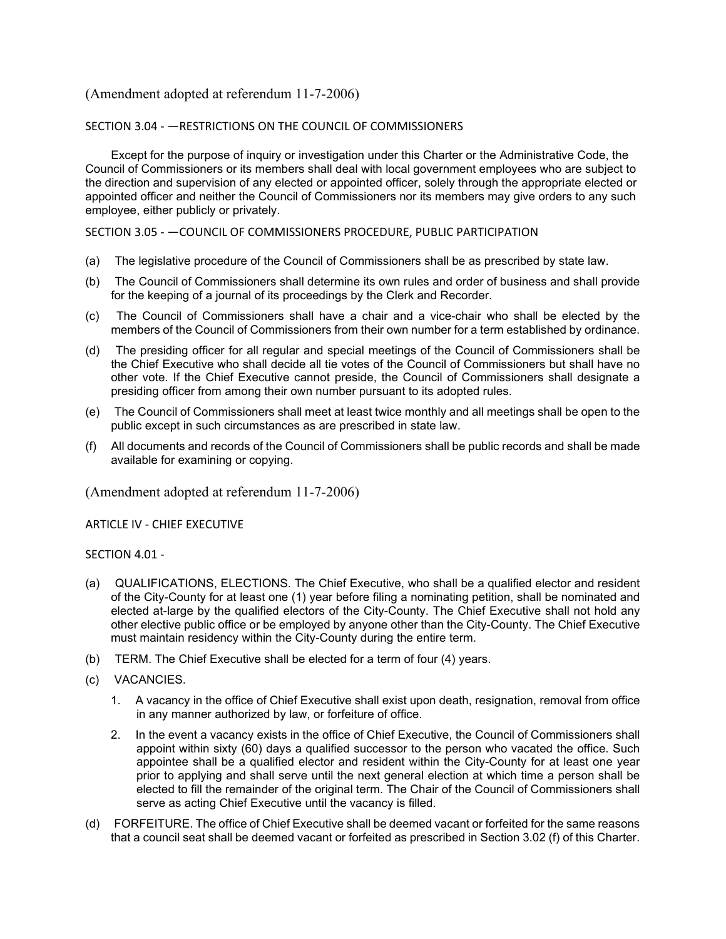## SECTION 3.04 - —RESTRICTIONS ON THE COUNCIL OF COMMISSIONERS

Except for the purpose of inquiry or investigation under this Charter or the Administrative Code, the Council of Commissioners or its members shall deal with local government employees who are subject to the direction and supervision of any elected or appointed officer, solely through the appropriate elected or appointed officer and neither the Council of Commissioners nor its members may give orders to any such employee, either publicly or privately.

## SECTION 3.05 - —COUNCIL OF COMMISSIONERS PROCEDURE, PUBLIC PARTICIPATION

- (a) The legislative procedure of the Council of Commissioners shall be as prescribed by state law.
- (b) The Council of Commissioners shall determine its own rules and order of business and shall provide for the keeping of a journal of its proceedings by the Clerk and Recorder.
- (c) The Council of Commissioners shall have a chair and a vice-chair who shall be elected by the members of the Council of Commissioners from their own number for a term established by ordinance.
- (d) The presiding officer for all regular and special meetings of the Council of Commissioners shall be the Chief Executive who shall decide all tie votes of the Council of Commissioners but shall have no other vote. If the Chief Executive cannot preside, the Council of Commissioners shall designate a presiding officer from among their own number pursuant to its adopted rules.
- (e) The Council of Commissioners shall meet at least twice monthly and all meetings shall be open to the public except in such circumstances as are prescribed in state law.
- (f) All documents and records of the Council of Commissioners shall be public records and shall be made available for examining or copying.

(Amendment adopted at referendum 11-7-2006)

ARTICLE IV - CHIEF EXECUTIVE

## SECTION 4.01 -

- (a) QUALIFICATIONS, ELECTIONS. The Chief Executive, who shall be a qualified elector and resident of the City-County for at least one (1) year before filing a nominating petition, shall be nominated and elected at-large by the qualified electors of the City-County. The Chief Executive shall not hold any other elective public office or be employed by anyone other than the City-County. The Chief Executive must maintain residency within the City-County during the entire term.
- (b) TERM. The Chief Executive shall be elected for a term of four (4) years.
- (c) VACANCIES.
	- 1. A vacancy in the office of Chief Executive shall exist upon death, resignation, removal from office in any manner authorized by law, or forfeiture of office.
	- 2. In the event a vacancy exists in the office of Chief Executive, the Council of Commissioners shall appoint within sixty (60) days a qualified successor to the person who vacated the office. Such appointee shall be a qualified elector and resident within the City-County for at least one year prior to applying and shall serve until the next general election at which time a person shall be elected to fill the remainder of the original term. The Chair of the Council of Commissioners shall serve as acting Chief Executive until the vacancy is filled.
- (d) FORFEITURE. The office of Chief Executive shall be deemed vacant or forfeited for the same reasons that a council seat shall be deemed vacant or forfeited as prescribed in Section 3.02 (f) of this Charter.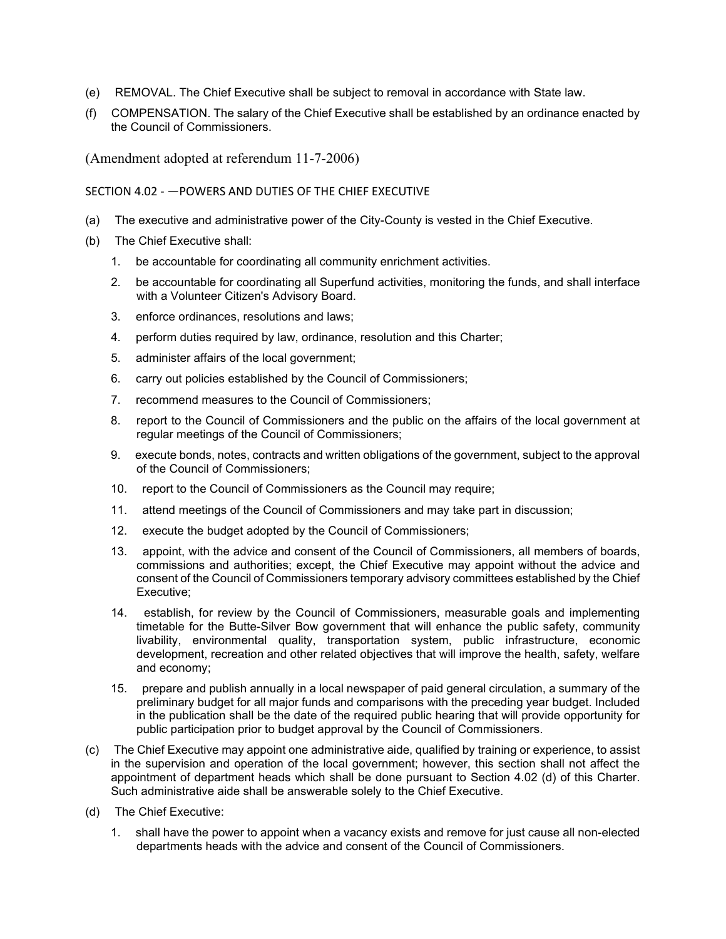- (e) REMOVAL. The Chief Executive shall be subject to removal in accordance with State law.
- (f) COMPENSATION. The salary of the Chief Executive shall be established by an ordinance enacted by the Council of Commissioners.

## SECTION 4.02 - —POWERS AND DUTIES OF THE CHIEF EXECUTIVE

- (a) The executive and administrative power of the City-County is vested in the Chief Executive.
- (b) The Chief Executive shall:
	- 1. be accountable for coordinating all community enrichment activities.
	- 2. be accountable for coordinating all Superfund activities, monitoring the funds, and shall interface with a Volunteer Citizen's Advisory Board.
	- 3. enforce ordinances, resolutions and laws;
	- 4. perform duties required by law, ordinance, resolution and this Charter;
	- 5. administer affairs of the local government;
	- 6. carry out policies established by the Council of Commissioners;
	- 7. recommend measures to the Council of Commissioners;
	- 8. report to the Council of Commissioners and the public on the affairs of the local government at regular meetings of the Council of Commissioners;
	- 9. execute bonds, notes, contracts and written obligations of the government, subject to the approval of the Council of Commissioners;
	- 10. report to the Council of Commissioners as the Council may require;
	- 11. attend meetings of the Council of Commissioners and may take part in discussion;
	- 12. execute the budget adopted by the Council of Commissioners;
	- 13. appoint, with the advice and consent of the Council of Commissioners, all members of boards, commissions and authorities; except, the Chief Executive may appoint without the advice and consent of the Council of Commissioners temporary advisory committees established by the Chief Executive;
	- 14. establish, for review by the Council of Commissioners, measurable goals and implementing timetable for the Butte-Silver Bow government that will enhance the public safety, community livability, environmental quality, transportation system, public infrastructure, economic development, recreation and other related objectives that will improve the health, safety, welfare and economy;
	- 15. prepare and publish annually in a local newspaper of paid general circulation, a summary of the preliminary budget for all major funds and comparisons with the preceding year budget. Included in the publication shall be the date of the required public hearing that will provide opportunity for public participation prior to budget approval by the Council of Commissioners.
- (c) The Chief Executive may appoint one administrative aide, qualified by training or experience, to assist in the supervision and operation of the local government; however, this section shall not affect the appointment of department heads which shall be done pursuant to Section 4.02 (d) of this Charter. Such administrative aide shall be answerable solely to the Chief Executive.
- (d) The Chief Executive:
	- 1. shall have the power to appoint when a vacancy exists and remove for just cause all non-elected departments heads with the advice and consent of the Council of Commissioners.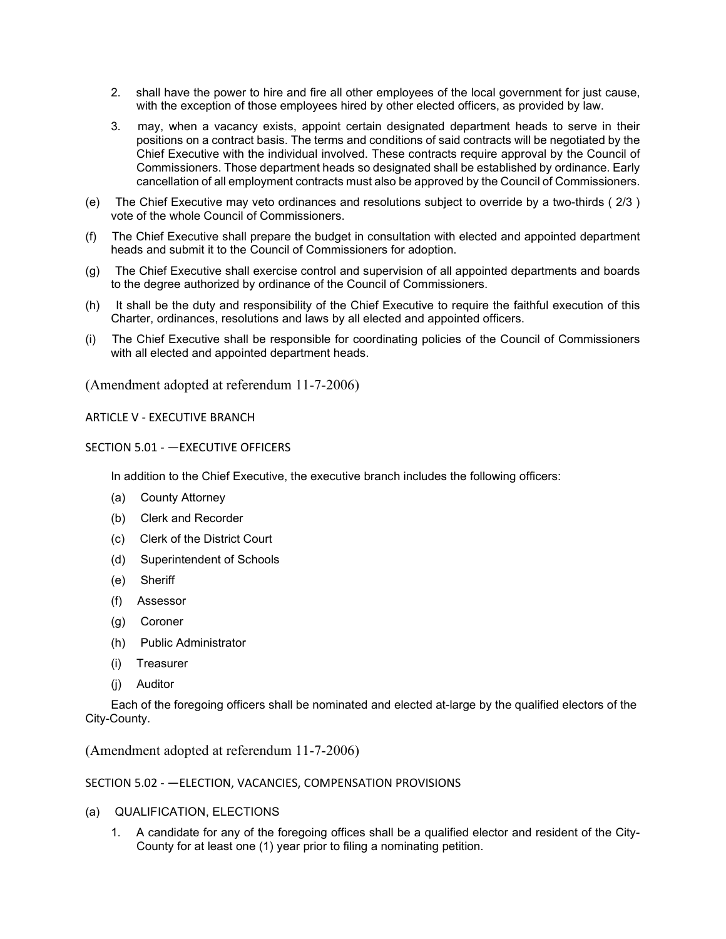- 2. shall have the power to hire and fire all other employees of the local government for just cause, with the exception of those employees hired by other elected officers, as provided by law.
- 3. may, when a vacancy exists, appoint certain designated department heads to serve in their positions on a contract basis. The terms and conditions of said contracts will be negotiated by the Chief Executive with the individual involved. These contracts require approval by the Council of Commissioners. Those department heads so designated shall be established by ordinance. Early cancellation of all employment contracts must also be approved by the Council of Commissioners.
- (e) The Chief Executive may veto ordinances and resolutions subject to override by a two-thirds ( 2/3 ) vote of the whole Council of Commissioners.
- (f) The Chief Executive shall prepare the budget in consultation with elected and appointed department heads and submit it to the Council of Commissioners for adoption.
- (g) The Chief Executive shall exercise control and supervision of all appointed departments and boards to the degree authorized by ordinance of the Council of Commissioners.
- (h) It shall be the duty and responsibility of the Chief Executive to require the faithful execution of this Charter, ordinances, resolutions and laws by all elected and appointed officers.
- (i) The Chief Executive shall be responsible for coordinating policies of the Council of Commissioners with all elected and appointed department heads.

ARTICLE V - EXECUTIVE BRANCH

SECTION 5.01 - —EXECUTIVE OFFICERS

In addition to the Chief Executive, the executive branch includes the following officers:

- (a) County Attorney
- (b) Clerk and Recorder
- (c) Clerk of the District Court
- (d) Superintendent of Schools
- (e) Sheriff
- (f) Assessor
- (g) Coroner
- (h) Public Administrator
- (i) Treasurer
- (j) Auditor

Each of the foregoing officers shall be nominated and elected at-large by the qualified electors of the City-County.

(Amendment adopted at referendum 11-7-2006)

## SECTION 5.02 - —ELECTION, VACANCIES, COMPENSATION PROVISIONS

- (a) QUALIFICATION, ELECTIONS
	- 1. A candidate for any of the foregoing offices shall be a qualified elector and resident of the City-County for at least one (1) year prior to filing a nominating petition.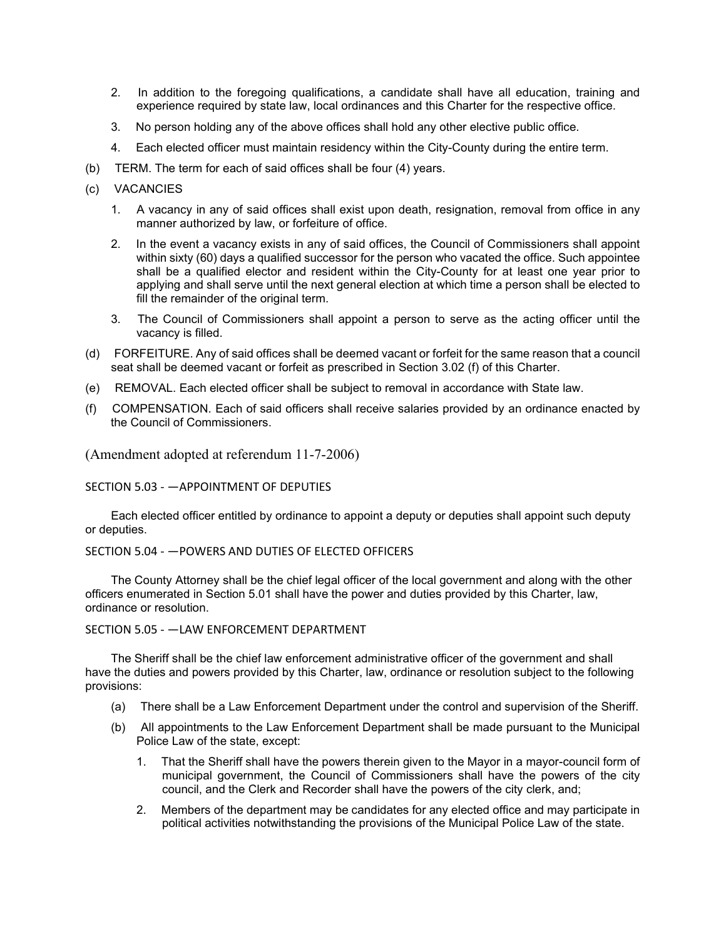- 2. In addition to the foregoing qualifications, a candidate shall have all education, training and experience required by state law, local ordinances and this Charter for the respective office.
- 3. No person holding any of the above offices shall hold any other elective public office.
- 4. Each elected officer must maintain residency within the City-County during the entire term.
- (b) TERM. The term for each of said offices shall be four (4) years.
- (c) VACANCIES
	- 1. A vacancy in any of said offices shall exist upon death, resignation, removal from office in any manner authorized by law, or forfeiture of office.
	- 2. In the event a vacancy exists in any of said offices, the Council of Commissioners shall appoint within sixty (60) days a qualified successor for the person who vacated the office. Such appointee shall be a qualified elector and resident within the City-County for at least one year prior to applying and shall serve until the next general election at which time a person shall be elected to fill the remainder of the original term.
	- 3. The Council of Commissioners shall appoint a person to serve as the acting officer until the vacancy is filled.
- (d) FORFEITURE. Any of said offices shall be deemed vacant or forfeit for the same reason that a council seat shall be deemed vacant or forfeit as prescribed in Section 3.02 (f) of this Charter.
- (e) REMOVAL. Each elected officer shall be subject to removal in accordance with State law.
- (f) COMPENSATION. Each of said officers shall receive salaries provided by an ordinance enacted by the Council of Commissioners.

## SECTION 5.03 - —APPOINTMENT OF DEPUTIES

Each elected officer entitled by ordinance to appoint a deputy or deputies shall appoint such deputy or deputies.

## SECTION 5.04 - —POWERS AND DUTIES OF ELECTED OFFICERS

The County Attorney shall be the chief legal officer of the local government and along with the other officers enumerated in Section 5.01 shall have the power and duties provided by this Charter, law, ordinance or resolution.

## SECTION 5.05 - —LAW ENFORCEMENT DEPARTMENT

The Sheriff shall be the chief law enforcement administrative officer of the government and shall have the duties and powers provided by this Charter, law, ordinance or resolution subject to the following provisions:

- (a) There shall be a Law Enforcement Department under the control and supervision of the Sheriff.
- (b) All appointments to the Law Enforcement Department shall be made pursuant to the Municipal Police Law of the state, except:
	- 1. That the Sheriff shall have the powers therein given to the Mayor in a mayor-council form of municipal government, the Council of Commissioners shall have the powers of the city council, and the Clerk and Recorder shall have the powers of the city clerk, and;
	- 2. Members of the department may be candidates for any elected office and may participate in political activities notwithstanding the provisions of the Municipal Police Law of the state.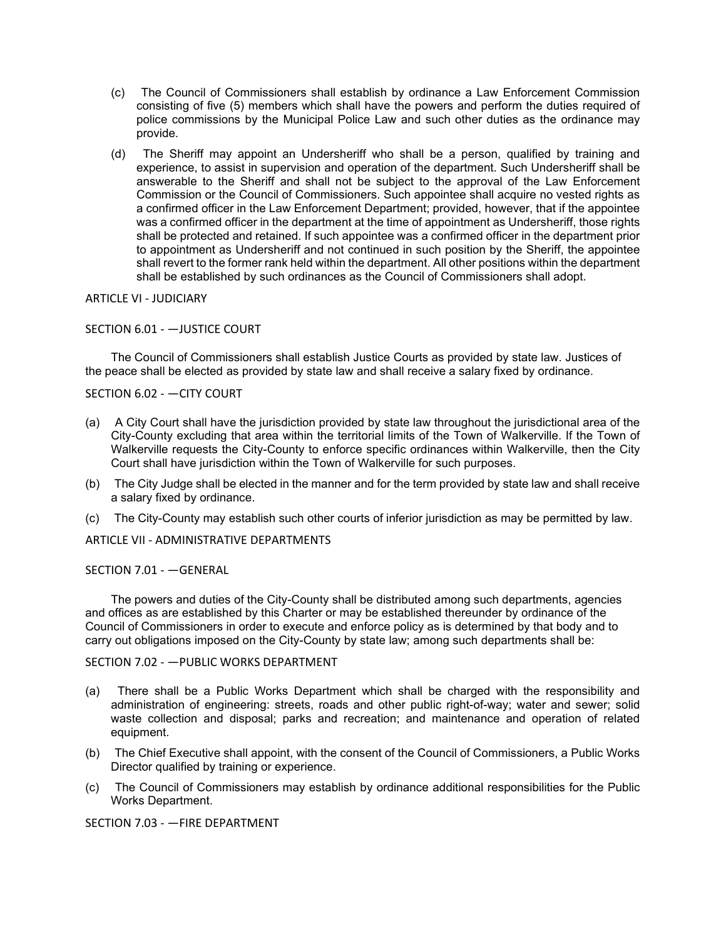- (c) The Council of Commissioners shall establish by ordinance a Law Enforcement Commission consisting of five (5) members which shall have the powers and perform the duties required of police commissions by the Municipal Police Law and such other duties as the ordinance may provide.
- (d) The Sheriff may appoint an Undersheriff who shall be a person, qualified by training and experience, to assist in supervision and operation of the department. Such Undersheriff shall be answerable to the Sheriff and shall not be subject to the approval of the Law Enforcement Commission or the Council of Commissioners. Such appointee shall acquire no vested rights as a confirmed officer in the Law Enforcement Department; provided, however, that if the appointee was a confirmed officer in the department at the time of appointment as Undersheriff, those rights shall be protected and retained. If such appointee was a confirmed officer in the department prior to appointment as Undersheriff and not continued in such position by the Sheriff, the appointee shall revert to the former rank held within the department. All other positions within the department shall be established by such ordinances as the Council of Commissioners shall adopt.

### ARTICLE VI - JUDICIARY

### SECTION 6.01 - —JUSTICE COURT

The Council of Commissioners shall establish Justice Courts as provided by state law. Justices of the peace shall be elected as provided by state law and shall receive a salary fixed by ordinance.

## SECTION 6.02 - —CITY COURT

- (a) A City Court shall have the jurisdiction provided by state law throughout the jurisdictional area of the City-County excluding that area within the territorial limits of the Town of Walkerville. If the Town of Walkerville requests the City-County to enforce specific ordinances within Walkerville, then the City Court shall have jurisdiction within the Town of Walkerville for such purposes.
- (b) The City Judge shall be elected in the manner and for the term provided by state law and shall receive a salary fixed by ordinance.
- (c) The City-County may establish such other courts of inferior jurisdiction as may be permitted by law.

#### ARTICLE VII - ADMINISTRATIVE DEPARTMENTS

#### SECTION 7.01 - —GENERAL

The powers and duties of the City-County shall be distributed among such departments, agencies and offices as are established by this Charter or may be established thereunder by ordinance of the Council of Commissioners in order to execute and enforce policy as is determined by that body and to carry out obligations imposed on the City-County by state law; among such departments shall be:

### SECTION 7.02 - —PUBLIC WORKS DEPARTMENT

- (a) There shall be a Public Works Department which shall be charged with the responsibility and administration of engineering: streets, roads and other public right-of-way; water and sewer; solid waste collection and disposal; parks and recreation; and maintenance and operation of related equipment.
- (b) The Chief Executive shall appoint, with the consent of the Council of Commissioners, a Public Works Director qualified by training or experience.
- (c) The Council of Commissioners may establish by ordinance additional responsibilities for the Public Works Department.

SECTION 7.03 - —FIRE DEPARTMENT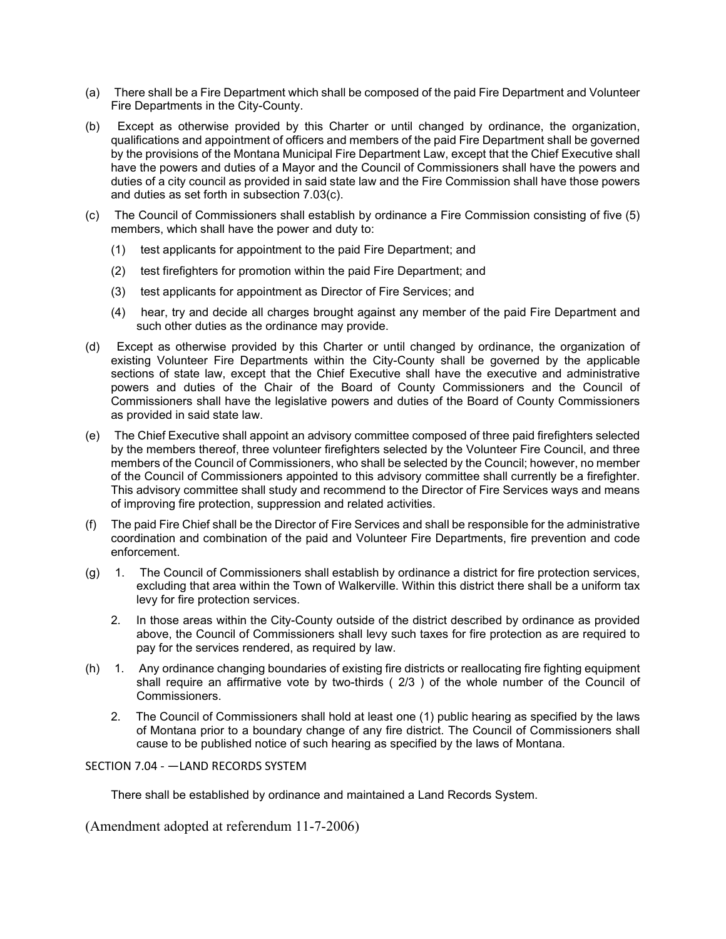- (a) There shall be a Fire Department which shall be composed of the paid Fire Department and Volunteer Fire Departments in the City-County.
- (b) Except as otherwise provided by this Charter or until changed by ordinance, the organization, qualifications and appointment of officers and members of the paid Fire Department shall be governed by the provisions of the Montana Municipal Fire Department Law, except that the Chief Executive shall have the powers and duties of a Mayor and the Council of Commissioners shall have the powers and duties of a city council as provided in said state law and the Fire Commission shall have those powers and duties as set forth in subsection 7.03(c).
- (c) The Council of Commissioners shall establish by ordinance a Fire Commission consisting of five (5) members, which shall have the power and duty to:
	- (1) test applicants for appointment to the paid Fire Department; and
	- (2) test firefighters for promotion within the paid Fire Department; and
	- (3) test applicants for appointment as Director of Fire Services; and
	- (4) hear, try and decide all charges brought against any member of the paid Fire Department and such other duties as the ordinance may provide.
- (d) Except as otherwise provided by this Charter or until changed by ordinance, the organization of existing Volunteer Fire Departments within the City-County shall be governed by the applicable sections of state law, except that the Chief Executive shall have the executive and administrative powers and duties of the Chair of the Board of County Commissioners and the Council of Commissioners shall have the legislative powers and duties of the Board of County Commissioners as provided in said state law.
- (e) The Chief Executive shall appoint an advisory committee composed of three paid firefighters selected by the members thereof, three volunteer firefighters selected by the Volunteer Fire Council, and three members of the Council of Commissioners, who shall be selected by the Council; however, no member of the Council of Commissioners appointed to this advisory committee shall currently be a firefighter. This advisory committee shall study and recommend to the Director of Fire Services ways and means of improving fire protection, suppression and related activities.
- (f) The paid Fire Chief shall be the Director of Fire Services and shall be responsible for the administrative coordination and combination of the paid and Volunteer Fire Departments, fire prevention and code enforcement.
- (g) 1. The Council of Commissioners shall establish by ordinance a district for fire protection services, excluding that area within the Town of Walkerville. Within this district there shall be a uniform tax levy for fire protection services.
	- 2. In those areas within the City-County outside of the district described by ordinance as provided above, the Council of Commissioners shall levy such taxes for fire protection as are required to pay for the services rendered, as required by law.
- (h) 1. Any ordinance changing boundaries of existing fire districts or reallocating fire fighting equipment shall require an affirmative vote by two-thirds ( 2/3 ) of the whole number of the Council of Commissioners.
	- 2. The Council of Commissioners shall hold at least one (1) public hearing as specified by the laws of Montana prior to a boundary change of any fire district. The Council of Commissioners shall cause to be published notice of such hearing as specified by the laws of Montana.

## SECTION 7.04 - —LAND RECORDS SYSTEM

There shall be established by ordinance and maintained a Land Records System.

(Amendment adopted at referendum 11-7-2006)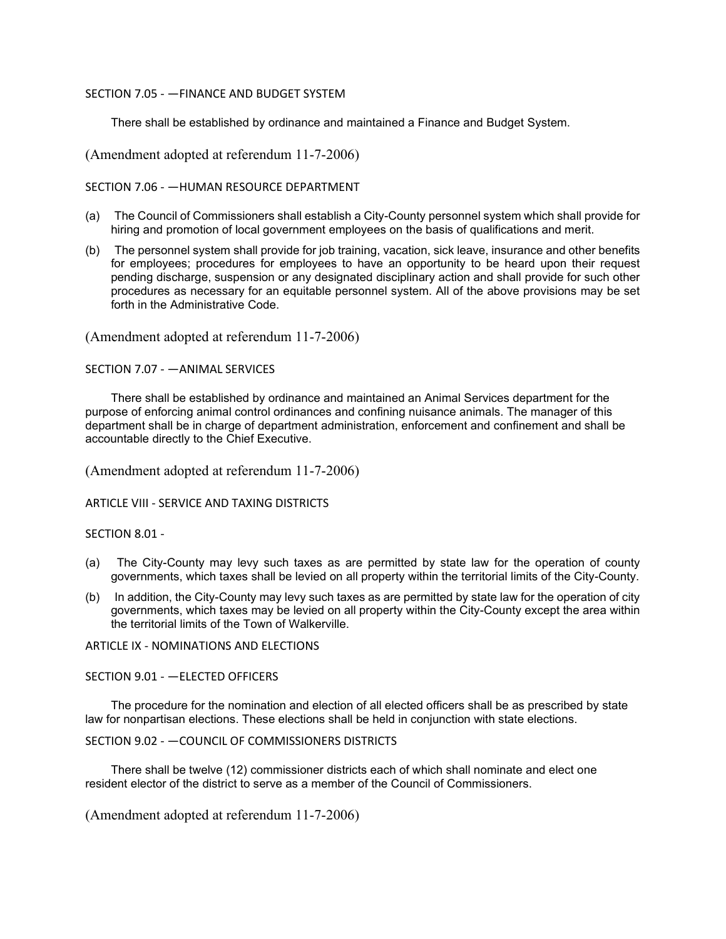## SECTION 7.05 - —FINANCE AND BUDGET SYSTEM

There shall be established by ordinance and maintained a Finance and Budget System.

(Amendment adopted at referendum 11-7-2006)

SECTION 7.06 - —HUMAN RESOURCE DEPARTMENT

- (a) The Council of Commissioners shall establish a City-County personnel system which shall provide for hiring and promotion of local government employees on the basis of qualifications and merit.
- (b) The personnel system shall provide for job training, vacation, sick leave, insurance and other benefits for employees; procedures for employees to have an opportunity to be heard upon their request pending discharge, suspension or any designated disciplinary action and shall provide for such other procedures as necessary for an equitable personnel system. All of the above provisions may be set forth in the Administrative Code.

(Amendment adopted at referendum 11-7-2006)

SECTION 7.07 - —ANIMAL SERVICES

There shall be established by ordinance and maintained an Animal Services department for the purpose of enforcing animal control ordinances and confining nuisance animals. The manager of this department shall be in charge of department administration, enforcement and confinement and shall be accountable directly to the Chief Executive.

(Amendment adopted at referendum 11-7-2006)

ARTICLE VIII - SERVICE AND TAXING DISTRICTS

#### SECTION 8.01 -

- (a) The City-County may levy such taxes as are permitted by state law for the operation of county governments, which taxes shall be levied on all property within the territorial limits of the City-County.
- (b) In addition, the City-County may levy such taxes as are permitted by state law for the operation of city governments, which taxes may be levied on all property within the City-County except the area within the territorial limits of the Town of Walkerville.

ARTICLE IX - NOMINATIONS AND ELECTIONS

SECTION 9.01 - —ELECTED OFFICERS

The procedure for the nomination and election of all elected officers shall be as prescribed by state law for nonpartisan elections. These elections shall be held in conjunction with state elections.

```
SECTION 9.02 - —COUNCIL OF COMMISSIONERS DISTRICTS
```
There shall be twelve (12) commissioner districts each of which shall nominate and elect one resident elector of the district to serve as a member of the Council of Commissioners.

(Amendment adopted at referendum 11-7-2006)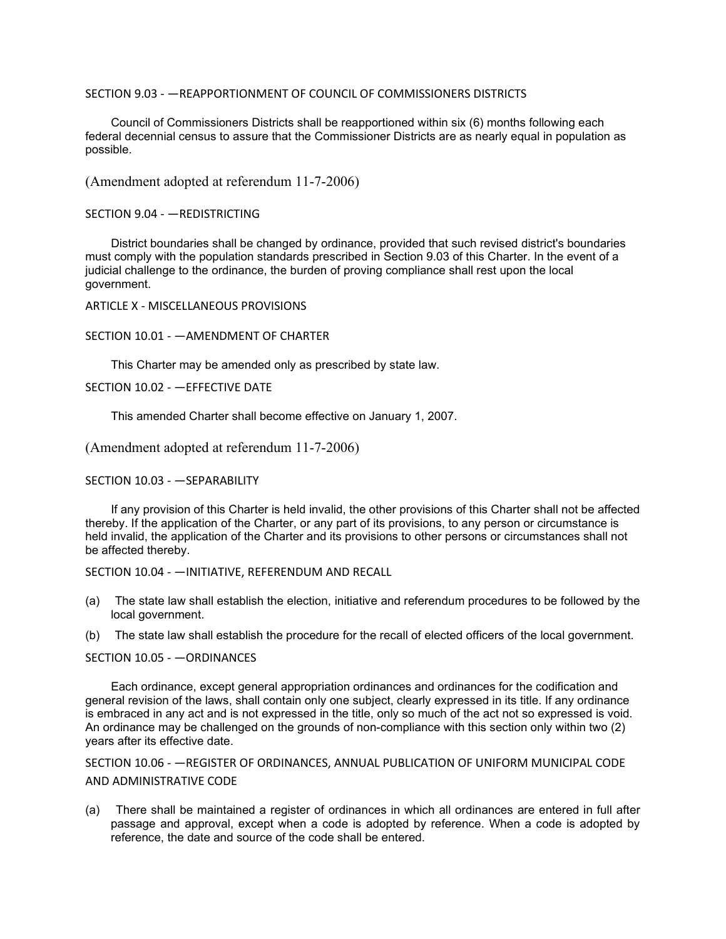### SECTION 9.03 - —REAPPORTIONMENT OF COUNCIL OF COMMISSIONERS DISTRICTS

Council of Commissioners Districts shall be reapportioned within six (6) months following each federal decennial census to assure that the Commissioner Districts are as nearly equal in population as possible.

(Amendment adopted at referendum 11-7-2006)

SECTION 9.04 - —REDISTRICTING

District boundaries shall be changed by ordinance, provided that such revised district's boundaries must comply with the population standards prescribed in Section 9.03 of this Charter. In the event of a judicial challenge to the ordinance, the burden of proving compliance shall rest upon the local government.

ARTICLE X - MISCELLANEOUS PROVISIONS

### SECTION 10.01 - —AMENDMENT OF CHARTER

This Charter may be amended only as prescribed by state law.

SECTION 10.02 - —EFFECTIVE DATE

This amended Charter shall become effective on January 1, 2007.

(Amendment adopted at referendum 11-7-2006)

#### SECTION 10.03 - —SEPARABILITY

If any provision of this Charter is held invalid, the other provisions of this Charter shall not be affected thereby. If the application of the Charter, or any part of its provisions, to any person or circumstance is held invalid, the application of the Charter and its provisions to other persons or circumstances shall not be affected thereby.

SECTION 10.04 - —INITIATIVE, REFERENDUM AND RECALL

- (a) The state law shall establish the election, initiative and referendum procedures to be followed by the local government.
- (b) The state law shall establish the procedure for the recall of elected officers of the local government.

SECTION 10.05 - —ORDINANCES

Each ordinance, except general appropriation ordinances and ordinances for the codification and general revision of the laws, shall contain only one subject, clearly expressed in its title. If any ordinance is embraced in any act and is not expressed in the title, only so much of the act not so expressed is void. An ordinance may be challenged on the grounds of non-compliance with this section only within two (2) years after its effective date.

SECTION 10.06 - —REGISTER OF ORDINANCES, ANNUAL PUBLICATION OF UNIFORM MUNICIPAL CODE AND ADMINISTRATIVE CODE

(a) There shall be maintained a register of ordinances in which all ordinances are entered in full after passage and approval, except when a code is adopted by reference. When a code is adopted by reference, the date and source of the code shall be entered.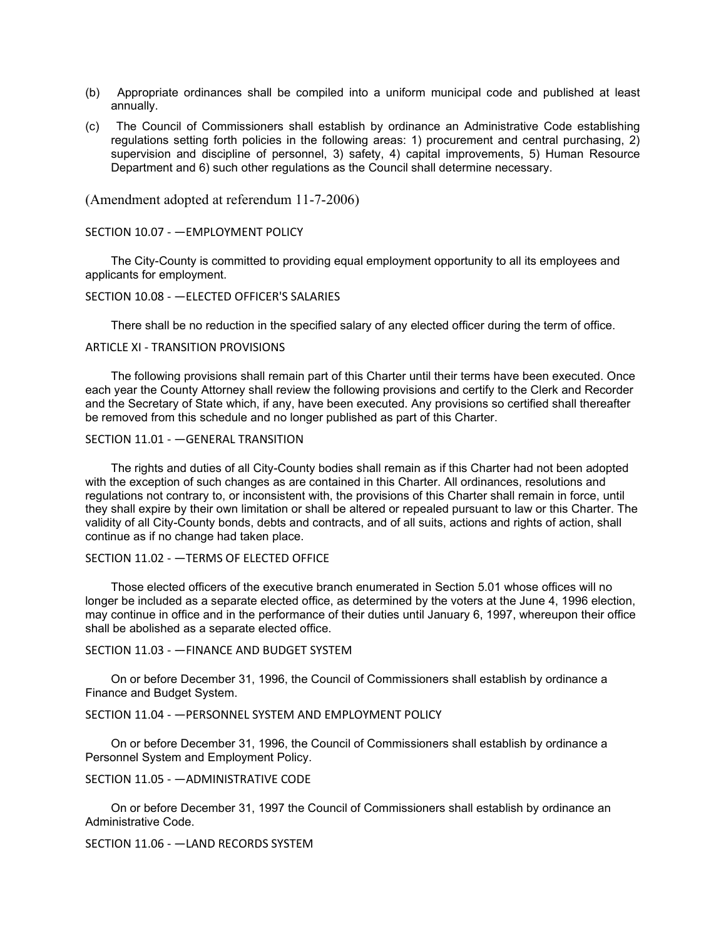- (b) Appropriate ordinances shall be compiled into a uniform municipal code and published at least annually.
- (c) The Council of Commissioners shall establish by ordinance an Administrative Code establishing regulations setting forth policies in the following areas: 1) procurement and central purchasing, 2) supervision and discipline of personnel, 3) safety, 4) capital improvements, 5) Human Resource Department and 6) such other regulations as the Council shall determine necessary.

### SECTION 10.07 - —EMPLOYMENT POLICY

The City-County is committed to providing equal employment opportunity to all its employees and applicants for employment.

### SECTION 10.08 - —ELECTED OFFICER'S SALARIES

There shall be no reduction in the specified salary of any elected officer during the term of office.

#### ARTICLE XI - TRANSITION PROVISIONS

The following provisions shall remain part of this Charter until their terms have been executed. Once each year the County Attorney shall review the following provisions and certify to the Clerk and Recorder and the Secretary of State which, if any, have been executed. Any provisions so certified shall thereafter be removed from this schedule and no longer published as part of this Charter.

### SECTION 11.01 - —GENERAL TRANSITION

The rights and duties of all City-County bodies shall remain as if this Charter had not been adopted with the exception of such changes as are contained in this Charter. All ordinances, resolutions and regulations not contrary to, or inconsistent with, the provisions of this Charter shall remain in force, until they shall expire by their own limitation or shall be altered or repealed pursuant to law or this Charter. The validity of all City-County bonds, debts and contracts, and of all suits, actions and rights of action, shall continue as if no change had taken place.

### SECTION 11.02 - —TERMS OF ELECTED OFFICE

Those elected officers of the executive branch enumerated in Section 5.01 whose offices will no longer be included as a separate elected office, as determined by the voters at the June 4, 1996 election, may continue in office and in the performance of their duties until January 6, 1997, whereupon their office shall be abolished as a separate elected office.

### SECTION 11.03 - —FINANCE AND BUDGET SYSTEM

On or before December 31, 1996, the Council of Commissioners shall establish by ordinance a Finance and Budget System.

#### SECTION 11.04 - —PERSONNEL SYSTEM AND EMPLOYMENT POLICY

On or before December 31, 1996, the Council of Commissioners shall establish by ordinance a Personnel System and Employment Policy.

### SECTION 11.05 - —ADMINISTRATIVE CODE

On or before December 31, 1997 the Council of Commissioners shall establish by ordinance an Administrative Code.

## SECTION 11.06 - —LAND RECORDS SYSTEM